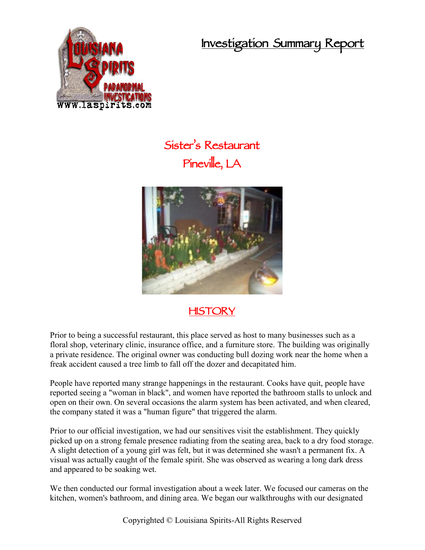**Investigation Summary Report**



## **Sister's Restaurant Pineville, LA**



## **HISTORY**

Prior to being a successful restaurant, this place served as host to many businesses such as a floral shop, veterinary clinic, insurance office, and a furniture store. The building was originally a private residence. The original owner was conducting bull dozing work near the home when a freak accident caused a tree limb to fall off the dozer and decapitated him.

People have reported many strange happenings in the restaurant. Cooks have quit, people have reported seeing a "woman in black", and women have reported the bathroom stalls to unlock and open on their own. On several occasions the alarm system has been activated, and when cleared, the company stated it was a "human figure" that triggered the alarm.

Prior to our official investigation, we had our sensitives visit the establishment. They quickly picked up on a strong female presence radiating from the seating area, back to a dry food storage. A slight detection of a young girl was felt, but it was determined she wasn't a permanent fix. A visual was actually caught of the female spirit. She was observed as wearing a long dark dress and appeared to be soaking wet.

We then conducted our formal investigation about a week later. We focused our cameras on the kitchen, women's bathroom, and dining area. We began our walkthroughs with our designated

Copyrighted © Louisiana Spirits-All Rights Reserved